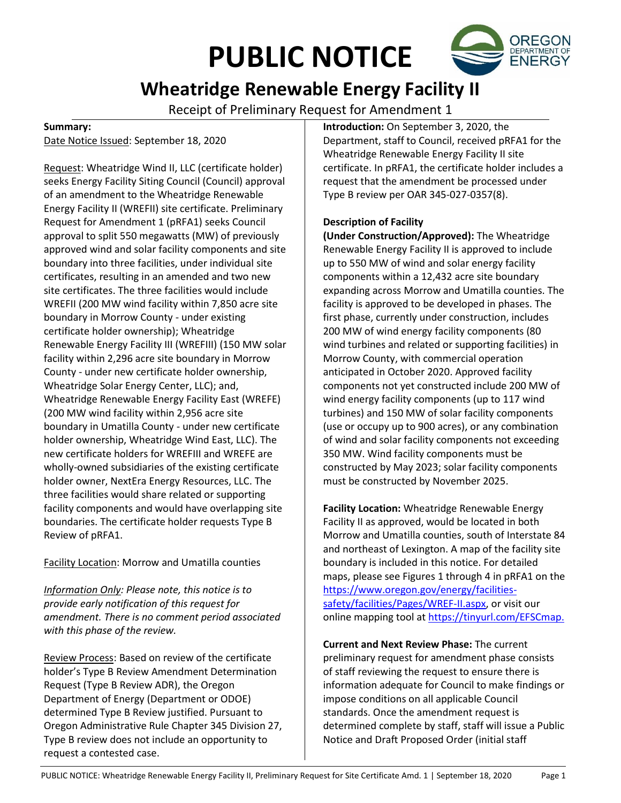# **PUBLIC NOTICE**



## **Wheatridge Renewable Energy Facility II**

Receipt of Preliminary Request for Amendment 1

#### **Summary:**

Date Notice Issued: September 18, 2020

Request: Wheatridge Wind II, LLC (certificate holder) seeks Energy Facility Siting Council (Council) approval of an amendment to the Wheatridge Renewable Energy Facility II (WREFII) site certificate. Preliminary Request for Amendment 1 (pRFA1) seeks Council approval to split 550 megawatts (MW) of previously approved wind and solar facility components and site boundary into three facilities, under individual site certificates, resulting in an amended and two new site certificates. The three facilities would include WREFII (200 MW wind facility within 7,850 acre site boundary in Morrow County - under existing certificate holder ownership); Wheatridge Renewable Energy Facility III (WREFIII) (150 MW solar facility within 2,296 acre site boundary in Morrow County - under new certificate holder ownership, Wheatridge Solar Energy Center, LLC); and, Wheatridge Renewable Energy Facility East (WREFE) (200 MW wind facility within 2,956 acre site boundary in Umatilla County - under new certificate holder ownership, Wheatridge Wind East, LLC). The new certificate holders for WREFIII and WREFE are wholly-owned subsidiaries of the existing certificate holder owner, NextEra Energy Resources, LLC. The three facilities would share related or supporting facility components and would have overlapping site boundaries. The certificate holder requests Type B Review of pRFA1.

Facility Location: Morrow and Umatilla counties

*Information Only: Please note, this notice is to provide early notification of this request for amendment. There is no comment period associated with this phase of the review.*

Review Process: Based on review of the certificate holder's Type B Review Amendment Determination Request (Type B Review ADR), the Oregon Department of Energy (Department or ODOE) determined Type B Review justified. Pursuant to Oregon Administrative Rule Chapter 345 Division 27, Type B review does not include an opportunity to request a contested case.

**Introduction:** On September 3, 2020, the Department, staff to Council, received pRFA1 for the Wheatridge Renewable Energy Facility II site certificate. In pRFA1, the certificate holder includes a request that the amendment be processed under Type B review per OAR 345-027-0357(8).

### **Description of Facility**

**(Under Construction/Approved):** The Wheatridge Renewable Energy Facility II is approved to include up to 550 MW of wind and solar energy facility components within a 12,432 acre site boundary expanding across Morrow and Umatilla counties. The facility is approved to be developed in phases. The first phase, currently under construction, includes 200 MW of wind energy facility components (80 wind turbines and related or supporting facilities) in Morrow County, with commercial operation anticipated in October 2020. Approved facility components not yet constructed include 200 MW of wind energy facility components (up to 117 wind turbines) and 150 MW of solar facility components (use or occupy up to 900 acres), or any combination of wind and solar facility components not exceeding 350 MW. Wind facility components must be constructed by May 2023; solar facility components must be constructed by November 2025.

**Facility Location:** Wheatridge Renewable Energy Facility II as approved, would be located in both Morrow and Umatilla counties, south of Interstate 84 and northeast of Lexington. A map of the facility site boundary is included in this notice. For detailed maps, please see Figures 1 through 4 in pRFA1 on the [https://www.oregon.gov/energy/facilities](https://www.oregon.gov/energy/facilities-safety/facilities/Pages/WREF-II.aspx)[safety/facilities/Pages/WREF-II.aspx,](https://www.oregon.gov/energy/facilities-safety/facilities/Pages/WREF-II.aspx) or visit our online mapping tool at [https://tinyurl.com/EFSCmap.](https://tinyurl.com/EFSCmap)

**Current and Next Review Phase:** The current preliminary request for amendment phase consists of staff reviewing the request to ensure there is information adequate for Council to make findings or impose conditions on all applicable Council standards. Once the amendment request is determined complete by staff, staff will issue a Public Notice and Draft Proposed Order (initial staff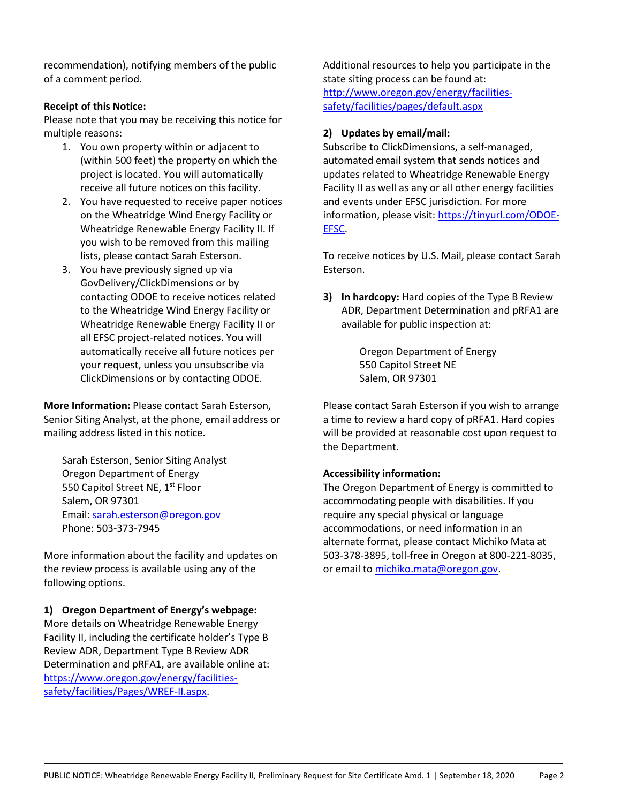recommendation), notifying members of the public of a comment period.

#### **Receipt of this Notice:**

Please note that you may be receiving this notice for multiple reasons:

- 1. You own property within or adjacent to (within 500 feet) the property on which the project is located. You will automatically receive all future notices on this facility.
- 2. You have requested to receive paper notices on the Wheatridge Wind Energy Facility or Wheatridge Renewable Energy Facility II. If you wish to be removed from this mailing lists, please contact Sarah Esterson.
- 3. You have previously signed up via GovDelivery/ClickDimensions or by contacting ODOE to receive notices related to the Wheatridge Wind Energy Facility or Wheatridge Renewable Energy Facility II or all EFSC project-related notices. You will automatically receive all future notices per your request, unless you unsubscribe via ClickDimensions or by contacting ODOE.

**More Information:** Please contact Sarah Esterson, Senior Siting Analyst, at the phone, email address or mailing address listed in this notice.

Sarah Esterson, Senior Siting Analyst Oregon Department of Energy 550 Capitol Street NE, 1<sup>st</sup> Floor Salem, OR 97301 Email: [sarah.esterson@oregon.gov](mailto:sarah.esterson@oregon.gov) Phone: 503-373-7945

More information about the facility and updates on the review process is available using any of the following options.

#### **1) Oregon Department of Energy's webpage:**

More details on Wheatridge Renewable Energy Facility II, including the certificate holder's Type B Review ADR, Department Type B Review ADR Determination and pRFA1, are available online at: [https://www.oregon.gov/energy/facilities](https://www.oregon.gov/energy/facilities-safety/facilities/Pages/WREF-II.aspx)[safety/facilities/Pages/WREF-II.aspx.](https://www.oregon.gov/energy/facilities-safety/facilities/Pages/WREF-II.aspx)

Additional resources to help you participate in the state siting process can be found at: [http://www.oregon.gov/energy/facilities](http://www.oregon.gov/energy/facilities-safety/facilities/pages/default.aspx)[safety/facilities/pages/default.aspx](http://www.oregon.gov/energy/facilities-safety/facilities/pages/default.aspx)

#### **2) Updates by email/mail:**

Subscribe to ClickDimensions, a self-managed, automated email system that sends notices and updates related to Wheatridge Renewable Energy Facility II as well as any or all other energy facilities and events under EFSC jurisdiction. For more information, please visit[: https://tinyurl.com/ODOE-](https://tinyurl.com/ODOE-EFSC)[EFSC.](https://tinyurl.com/ODOE-EFSC)

To receive notices by U.S. Mail, please contact Sarah Esterson.

**3) In hardcopy:** Hard copies of the Type B Review ADR, Department Determination and pRFA1 are available for public inspection at:

> Oregon Department of Energy 550 Capitol Street NE Salem, OR 97301

Please contact Sarah Esterson if you wish to arrange a time to review a hard copy of pRFA1. Hard copies will be provided at reasonable cost upon request to the Department.

#### **Accessibility information:**

The Oregon Department of Energy is committed to accommodating people with disabilities. If you require any special physical or language accommodations, or need information in an alternate format, please contact Michiko Mata at 503-378-3895, toll-free in Oregon at 800-221-8035, or email to [michiko.mata@oregon.gov.](mailto:michiko.mata@oregon.gov)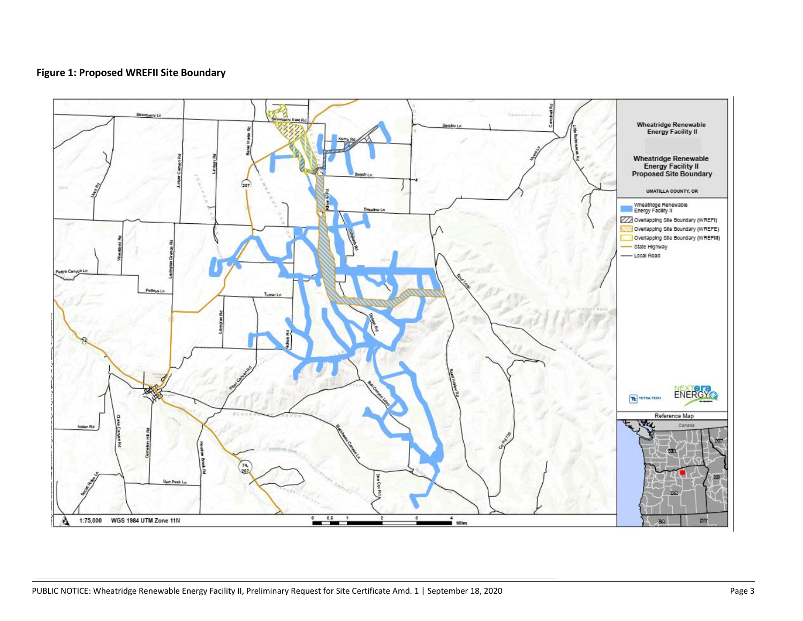#### **Figure 1: Proposed WREFII Site Boundary**

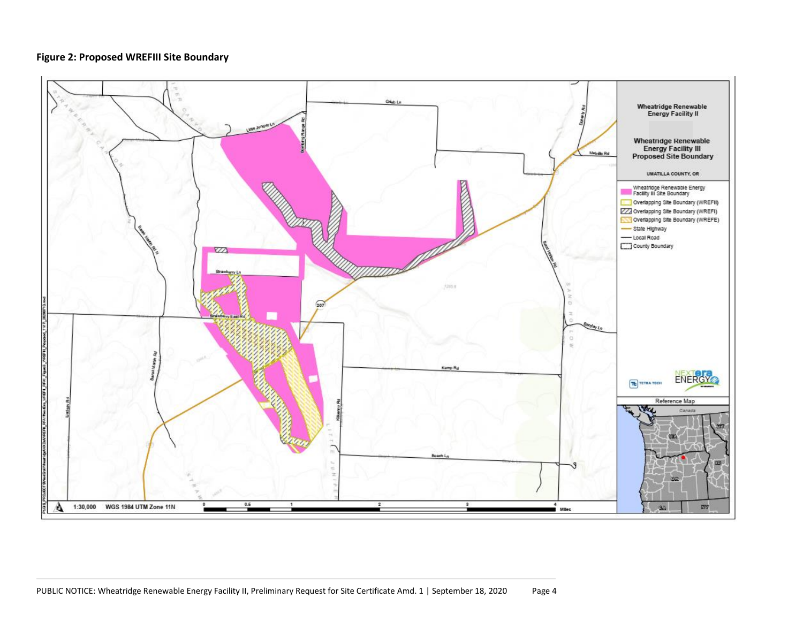#### **Figure 2: Proposed WREFIII Site Boundary**